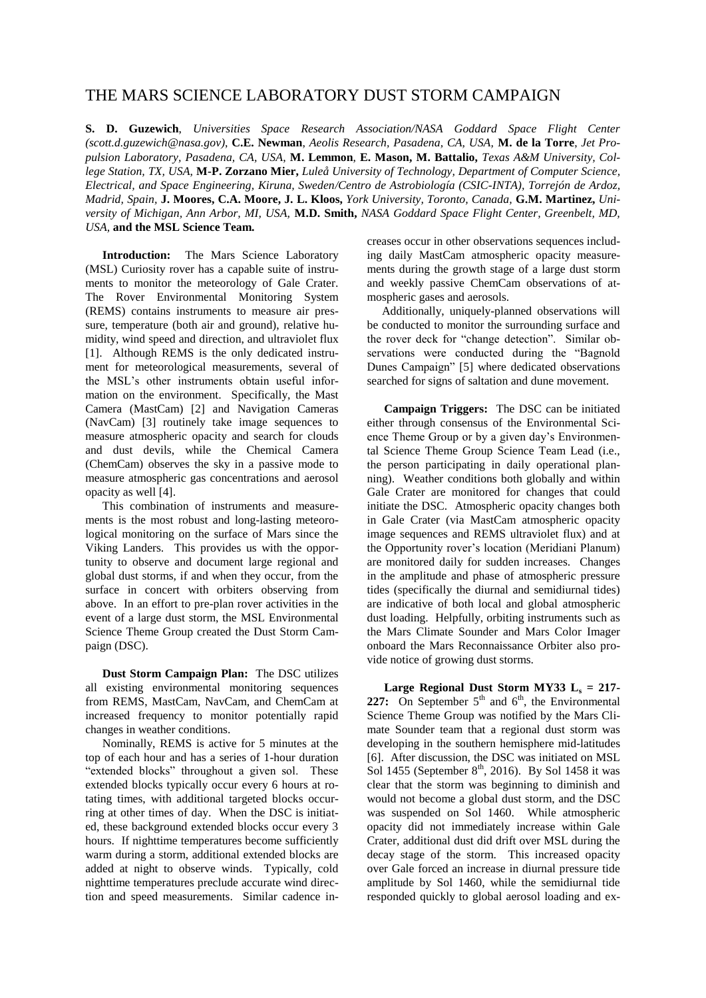## THE MARS SCIENCE LABORATORY DUST STORM CAMPAIGN

**S. D. Guzewich**, *Universities Space Research Association/NASA Goddard Space Flight Center (scott.d.guzewich@nasa.gov)*, **C.E. Newman**, *Aeolis Research, Pasadena, CA, USA,* **M. de la Torre**, *Jet Propulsion Laboratory, Pasadena, CA, USA*, **M. Lemmon**, **E. Mason, M. Battalio,** *Texas A&M University, College Station, TX, USA,* **M-P. Zorzano Mier,** *Luleå University of Technology, Department of Computer Science, Electrical, and Space Engineering, Kiruna, Sweden/Centro de Astrobiología (CSIC-INTA), Torrejón de Ardoz, Madrid, Spain,* **J. Moores, C.A. Moore, J. L. Kloos,** *York University, Toronto, Canada,* **G.M. Martinez,** *University of Michigan, Ann Arbor, MI, USA,* **M.D. Smith,** *NASA Goddard Space Flight Center, Greenbelt, MD, USA,* **and the MSL Science Team.** 

**Introduction:** The Mars Science Laboratory (MSL) Curiosity rover has a capable suite of instruments to monitor the meteorology of Gale Crater. The Rover Environmental Monitoring System (REMS) contains instruments to measure air pressure, temperature (both air and ground), relative humidity, wind speed and direction, and ultraviolet flux [1]. Although REMS is the only dedicated instrument for meteorological measurements, several of the MSL's other instruments obtain useful information on the environment. Specifically, the Mast Camera (MastCam) [2] and Navigation Cameras (NavCam) [3] routinely take image sequences to measure atmospheric opacity and search for clouds and dust devils, while the Chemical Camera (ChemCam) observes the sky in a passive mode to measure atmospheric gas concentrations and aerosol opacity as well [4].

This combination of instruments and measurements is the most robust and long-lasting meteorological monitoring on the surface of Mars since the Viking Landers. This provides us with the opportunity to observe and document large regional and global dust storms, if and when they occur, from the surface in concert with orbiters observing from above. In an effort to pre-plan rover activities in the event of a large dust storm, the MSL Environmental Science Theme Group created the Dust Storm Campaign (DSC).

**Dust Storm Campaign Plan:** The DSC utilizes all existing environmental monitoring sequences from REMS, MastCam, NavCam, and ChemCam at increased frequency to monitor potentially rapid changes in weather conditions.

Nominally, REMS is active for 5 minutes at the top of each hour and has a series of 1-hour duration "extended blocks" throughout a given sol. These extended blocks typically occur every 6 hours at rotating times, with additional targeted blocks occurring at other times of day. When the DSC is initiated, these background extended blocks occur every 3 hours. If nighttime temperatures become sufficiently warm during a storm, additional extended blocks are added at night to observe winds. Typically, cold nighttime temperatures preclude accurate wind direction and speed measurements. Similar cadence increases occur in other observations sequences including daily MastCam atmospheric opacity measurements during the growth stage of a large dust storm and weekly passive ChemCam observations of atmospheric gases and aerosols.

 Additionally, uniquely-planned observations will be conducted to monitor the surrounding surface and the rover deck for "change detection". Similar observations were conducted during the "Bagnold Dunes Campaign" [5] where dedicated observations searched for signs of saltation and dune movement.

**Campaign Triggers:** The DSC can be initiated either through consensus of the Environmental Science Theme Group or by a given day's Environmental Science Theme Group Science Team Lead (i.e., the person participating in daily operational planning). Weather conditions both globally and within Gale Crater are monitored for changes that could initiate the DSC. Atmospheric opacity changes both in Gale Crater (via MastCam atmospheric opacity image sequences and REMS ultraviolet flux) and at the Opportunity rover's location (Meridiani Planum) are monitored daily for sudden increases. Changes in the amplitude and phase of atmospheric pressure tides (specifically the diurnal and semidiurnal tides) are indicative of both local and global atmospheric dust loading. Helpfully, orbiting instruments such as the Mars Climate Sounder and Mars Color Imager onboard the Mars Reconnaissance Orbiter also provide notice of growing dust storms.

**Large Regional Dust Storm MY33**  $L_s = 217$ **-**227: On September  $5<sup>th</sup>$  and  $6<sup>th</sup>$ , the Environmental Science Theme Group was notified by the Mars Climate Sounder team that a regional dust storm was developing in the southern hemisphere mid-latitudes [6]. After discussion, the DSC was initiated on MSL Sol 1455 (September  $8<sup>th</sup>$ , 2016). By Sol 1458 it was clear that the storm was beginning to diminish and would not become a global dust storm, and the DSC was suspended on Sol 1460. While atmospheric opacity did not immediately increase within Gale Crater, additional dust did drift over MSL during the decay stage of the storm. This increased opacity over Gale forced an increase in diurnal pressure tide amplitude by Sol 1460, while the semidiurnal tide responded quickly to global aerosol loading and ex-